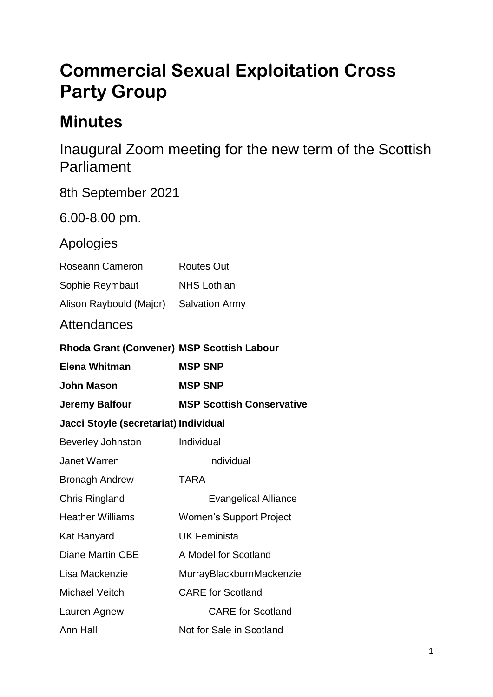# **Commercial Sexual Exploitation Cross Party Group**

## **Minutes**

Inaugural Zoom meeting for the new term of the Scottish **Parliament** 

| 8th September 2021                         |                                  |
|--------------------------------------------|----------------------------------|
| 6.00-8.00 pm.                              |                                  |
| Apologies                                  |                                  |
| Roseann Cameron                            | <b>Routes Out</b>                |
| Sophie Reymbaut                            | <b>NHS Lothian</b>               |
| Alison Raybould (Major)                    | <b>Salvation Army</b>            |
| Attendances                                |                                  |
| Rhoda Grant (Convener) MSP Scottish Labour |                                  |
| <b>Elena Whitman</b>                       | <b>MSP SNP</b>                   |
| <b>John Mason</b>                          | <b>MSP SNP</b>                   |
| <b>Jeremy Balfour</b>                      | <b>MSP Scottish Conservative</b> |
| Jacci Stoyle (secretariat) Individual      |                                  |
| <b>Beverley Johnston</b>                   | Individual                       |
| <b>Janet Warren</b>                        | Individual                       |
| <b>Bronagh Andrew</b>                      | <b>TARA</b>                      |
| <b>Chris Ringland</b>                      | <b>Evangelical Alliance</b>      |
| <b>Heather Williams</b>                    | <b>Women's Support Project</b>   |
| <b>Kat Banyard</b>                         | <b>UK Feminista</b>              |
| <b>Diane Martin CBE</b>                    | A Model for Scotland             |
| Lisa Mackenzie                             | MurrayBlackburnMackenzie         |
| <b>Michael Veitch</b>                      | <b>CARE</b> for Scotland         |
| Lauren Agnew                               | <b>CARE for Scotland</b>         |
| Ann Hall                                   | Not for Sale in Scotland         |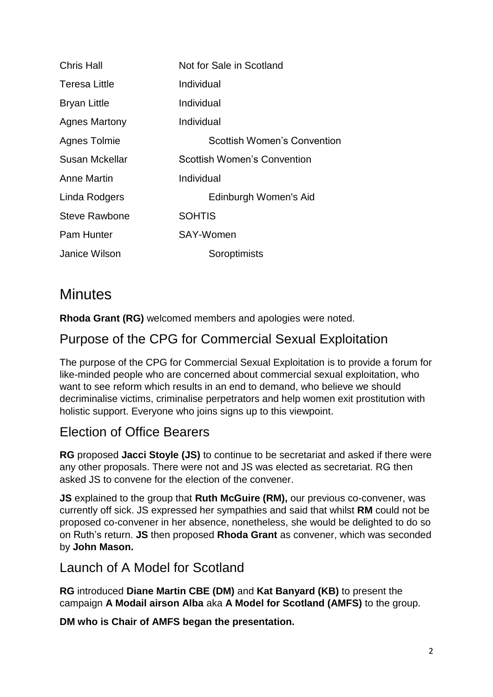| <b>Chris Hall</b> | Not for Sale in Scotland           |
|-------------------|------------------------------------|
| Teresa Little     | Individual                         |
| Bryan Little      | Individual                         |
| Agnes Martony     | Individual                         |
| Agnes Tolmie      | Scottish Women's Convention        |
| Susan Mckellar    | <b>Scottish Women's Convention</b> |
| Anne Martin       | Individual                         |
| Linda Rodgers     | Edinburgh Women's Aid              |
| Steve Rawbone     | <b>SOHTIS</b>                      |
| Pam Hunter        | SAY-Women                          |
| Janice Wilson     | Soroptimists                       |

## **Minutes**

**Rhoda Grant (RG)** welcomed members and apologies were noted.

## Purpose of the CPG for Commercial Sexual Exploitation

The purpose of the CPG for Commercial Sexual Exploitation is to provide a forum for like-minded people who are concerned about commercial sexual exploitation, who want to see reform which results in an end to demand, who believe we should decriminalise victims, criminalise perpetrators and help women exit prostitution with holistic support. Everyone who joins signs up to this viewpoint.

## Election of Office Bearers

**RG** proposed **Jacci Stoyle (JS)** to continue to be secretariat and asked if there were any other proposals. There were not and JS was elected as secretariat. RG then asked JS to convene for the election of the convener.

**JS** explained to the group that **Ruth McGuire (RM),** our previous co-convener, was currently off sick. JS expressed her sympathies and said that whilst **RM** could not be proposed co-convener in her absence, nonetheless, she would be delighted to do so on Ruth's return. **JS** then proposed **Rhoda Grant** as convener, which was seconded by **John Mason.**

### Launch of A Model for Scotland

**RG** introduced **Diane Martin CBE (DM)** and **Kat Banyard (KB)** to present the campaign **A Modail airson Alba** aka **A Model for Scotland (AMFS)** to the group.

**DM who is Chair of AMFS began the presentation.**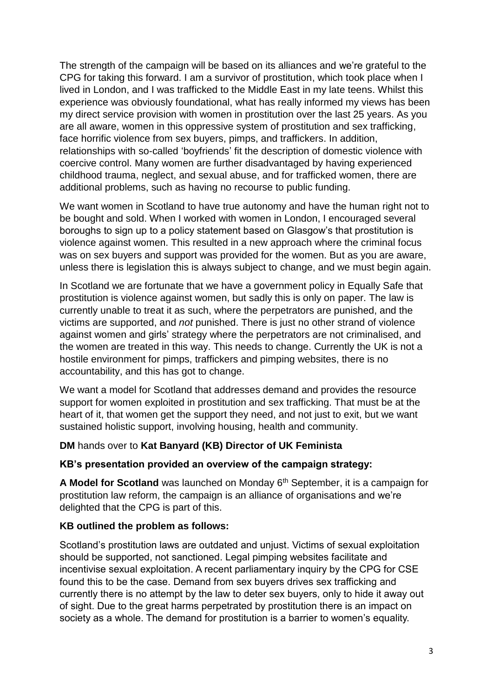The strength of the campaign will be based on its alliances and we're grateful to the CPG for taking this forward. I am a survivor of prostitution, which took place when I lived in London, and I was trafficked to the Middle East in my late teens. Whilst this experience was obviously foundational, what has really informed my views has been my direct service provision with women in prostitution over the last 25 years. As you are all aware, women in this oppressive system of prostitution and sex trafficking, face horrific violence from sex buyers, pimps, and traffickers. In addition, relationships with so-called 'boyfriends' fit the description of domestic violence with coercive control. Many women are further disadvantaged by having experienced childhood trauma, neglect, and sexual abuse, and for trafficked women, there are additional problems, such as having no recourse to public funding.

We want women in Scotland to have true autonomy and have the human right not to be bought and sold. When I worked with women in London, I encouraged several boroughs to sign up to a policy statement based on Glasgow's that prostitution is violence against women. This resulted in a new approach where the criminal focus was on sex buyers and support was provided for the women. But as you are aware, unless there is legislation this is always subject to change, and we must begin again.

In Scotland we are fortunate that we have a government policy in Equally Safe that prostitution is violence against women, but sadly this is only on paper. The law is currently unable to treat it as such, where the perpetrators are punished, and the victims are supported, and *not* punished. There is just no other strand of violence against women and girls' strategy where the perpetrators are not criminalised, and the women are treated in this way. This needs to change. Currently the UK is not a hostile environment for pimps, traffickers and pimping websites, there is no accountability, and this has got to change.

We want a model for Scotland that addresses demand and provides the resource support for women exploited in prostitution and sex trafficking. That must be at the heart of it, that women get the support they need, and not just to exit, but we want sustained holistic support, involving housing, health and community.

**DM** hands over to **Kat Banyard (KB) Director of UK Feminista**

#### **KB's presentation provided an overview of the campaign strategy:**

A Model for Scotland was launched on Monday 6<sup>th</sup> September, it is a campaign for prostitution law reform, the campaign is an alliance of organisations and we're delighted that the CPG is part of this.

#### **KB outlined the problem as follows:**

Scotland's prostitution laws are outdated and unjust. Victims of sexual exploitation should be supported, not sanctioned. Legal pimping websites facilitate and incentivise sexual exploitation. A recent parliamentary inquiry by the CPG for CSE found this to be the case. Demand from sex buyers drives sex trafficking and currently there is no attempt by the law to deter sex buyers, only to hide it away out of sight. Due to the great harms perpetrated by prostitution there is an impact on society as a whole. The demand for prostitution is a barrier to women's equality.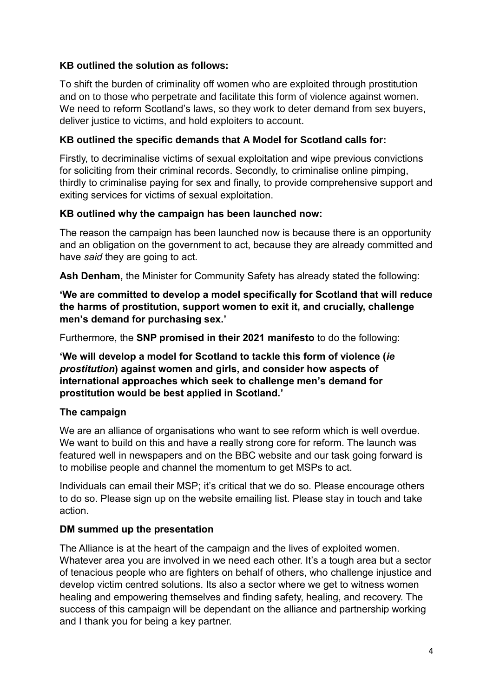#### **KB outlined the solution as follows:**

To shift the burden of criminality off women who are exploited through prostitution and on to those who perpetrate and facilitate this form of violence against women. We need to reform Scotland's laws, so they work to deter demand from sex buyers, deliver justice to victims, and hold exploiters to account.

#### **KB outlined the specific demands that A Model for Scotland calls for:**

Firstly, to decriminalise victims of sexual exploitation and wipe previous convictions for soliciting from their criminal records. Secondly, to criminalise online pimping, thirdly to criminalise paying for sex and finally, to provide comprehensive support and exiting services for victims of sexual exploitation.

#### **KB outlined why the campaign has been launched now:**

The reason the campaign has been launched now is because there is an opportunity and an obligation on the government to act, because they are already committed and have *said* they are going to act.

**Ash Denham,** the Minister for Community Safety has already stated the following:

**'We are committed to develop a model specifically for Scotland that will reduce the harms of prostitution, support women to exit it, and crucially, challenge men's demand for purchasing sex.'**

Furthermore, the **SNP promised in their 2021 manifesto** to do the following:

**'We will develop a model for Scotland to tackle this form of violence (***ie prostitution***) against women and girls, and consider how aspects of international approaches which seek to challenge men's demand for prostitution would be best applied in Scotland.'**

#### **The campaign**

We are an alliance of organisations who want to see reform which is well overdue. We want to build on this and have a really strong core for reform. The launch was featured well in newspapers and on the BBC website and our task going forward is to mobilise people and channel the momentum to get MSPs to act.

Individuals can email their MSP; it's critical that we do so. Please encourage others to do so. Please sign up on the website emailing list. Please stay in touch and take action.

#### **DM summed up the presentation**

The Alliance is at the heart of the campaign and the lives of exploited women. Whatever area you are involved in we need each other. It's a tough area but a sector of tenacious people who are fighters on behalf of others, who challenge injustice and develop victim centred solutions. Its also a sector where we get to witness women healing and empowering themselves and finding safety, healing, and recovery. The success of this campaign will be dependant on the alliance and partnership working and I thank you for being a key partner.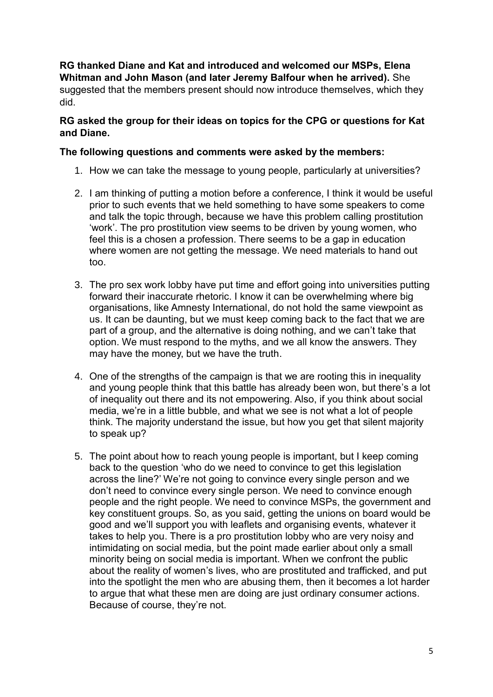**RG thanked Diane and Kat and introduced and welcomed our MSPs, Elena Whitman and John Mason (and later Jeremy Balfour when he arrived).** She suggested that the members present should now introduce themselves, which they did.

#### **RG asked the group for their ideas on topics for the CPG or questions for Kat and Diane.**

#### **The following questions and comments were asked by the members:**

- 1. How we can take the message to young people, particularly at universities?
- 2. I am thinking of putting a motion before a conference, I think it would be useful prior to such events that we held something to have some speakers to come and talk the topic through, because we have this problem calling prostitution 'work'. The pro prostitution view seems to be driven by young women, who feel this is a chosen a profession. There seems to be a gap in education where women are not getting the message. We need materials to hand out too.
- 3. The pro sex work lobby have put time and effort going into universities putting forward their inaccurate rhetoric. I know it can be overwhelming where big organisations, like Amnesty International, do not hold the same viewpoint as us. It can be daunting, but we must keep coming back to the fact that we are part of a group, and the alternative is doing nothing, and we can't take that option. We must respond to the myths, and we all know the answers. They may have the money, but we have the truth.
- 4. One of the strengths of the campaign is that we are rooting this in inequality and young people think that this battle has already been won, but there's a lot of inequality out there and its not empowering. Also, if you think about social media, we're in a little bubble, and what we see is not what a lot of people think. The majority understand the issue, but how you get that silent majority to speak up?
- 5. The point about how to reach young people is important, but I keep coming back to the question 'who do we need to convince to get this legislation across the line?' We're not going to convince every single person and we don't need to convince every single person. We need to convince enough people and the right people. We need to convince MSPs, the government and key constituent groups. So, as you said, getting the unions on board would be good and we'll support you with leaflets and organising events, whatever it takes to help you. There is a pro prostitution lobby who are very noisy and intimidating on social media, but the point made earlier about only a small minority being on social media is important. When we confront the public about the reality of women's lives, who are prostituted and trafficked, and put into the spotlight the men who are abusing them, then it becomes a lot harder to argue that what these men are doing are just ordinary consumer actions. Because of course, they're not.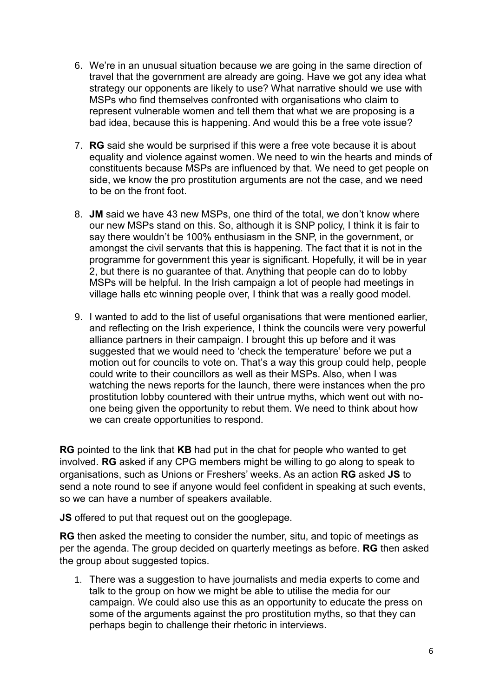- 6. We're in an unusual situation because we are going in the same direction of travel that the government are already are going. Have we got any idea what strategy our opponents are likely to use? What narrative should we use with MSPs who find themselves confronted with organisations who claim to represent vulnerable women and tell them that what we are proposing is a bad idea, because this is happening. And would this be a free vote issue?
- 7. **RG** said she would be surprised if this were a free vote because it is about equality and violence against women. We need to win the hearts and minds of constituents because MSPs are influenced by that. We need to get people on side, we know the pro prostitution arguments are not the case, and we need to be on the front foot.
- 8. **JM** said we have 43 new MSPs, one third of the total, we don't know where our new MSPs stand on this. So, although it is SNP policy, I think it is fair to say there wouldn't be 100% enthusiasm in the SNP, in the government, or amongst the civil servants that this is happening. The fact that it is not in the programme for government this year is significant. Hopefully, it will be in year 2, but there is no guarantee of that. Anything that people can do to lobby MSPs will be helpful. In the Irish campaign a lot of people had meetings in village halls etc winning people over, I think that was a really good model.
- 9. I wanted to add to the list of useful organisations that were mentioned earlier, and reflecting on the Irish experience, I think the councils were very powerful alliance partners in their campaign. I brought this up before and it was suggested that we would need to 'check the temperature' before we put a motion out for councils to vote on. That's a way this group could help, people could write to their councillors as well as their MSPs. Also, when I was watching the news reports for the launch, there were instances when the pro prostitution lobby countered with their untrue myths, which went out with noone being given the opportunity to rebut them. We need to think about how we can create opportunities to respond.

**RG** pointed to the link that **KB** had put in the chat for people who wanted to get involved. **RG** asked if any CPG members might be willing to go along to speak to organisations, such as Unions or Freshers' weeks. As an action **RG** asked **JS** to send a note round to see if anyone would feel confident in speaking at such events, so we can have a number of speakers available.

**JS** offered to put that request out on the googlepage.

**RG** then asked the meeting to consider the number, situ, and topic of meetings as per the agenda. The group decided on quarterly meetings as before. **RG** then asked the group about suggested topics.

1. There was a suggestion to have journalists and media experts to come and talk to the group on how we might be able to utilise the media for our campaign. We could also use this as an opportunity to educate the press on some of the arguments against the pro prostitution myths, so that they can perhaps begin to challenge their rhetoric in interviews.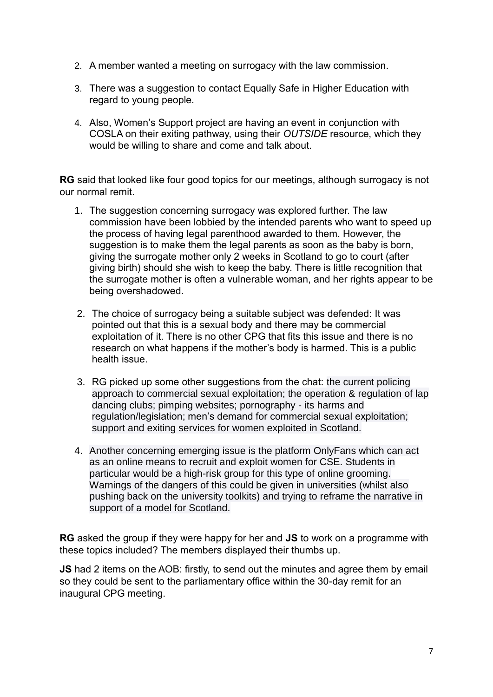- 2. A member wanted a meeting on surrogacy with the law commission.
- 3. There was a suggestion to contact Equally Safe in Higher Education with regard to young people.
- 4. Also, Women's Support project are having an event in conjunction with COSLA on their exiting pathway, using their *OUTSIDE* resource, which they would be willing to share and come and talk about.

**RG** said that looked like four good topics for our meetings, although surrogacy is not our normal remit.

- 1. The suggestion concerning surrogacy was explored further. The law commission have been lobbied by the intended parents who want to speed up the process of having legal parenthood awarded to them. However, the suggestion is to make them the legal parents as soon as the baby is born, giving the surrogate mother only 2 weeks in Scotland to go to court (after giving birth) should she wish to keep the baby. There is little recognition that the surrogate mother is often a vulnerable woman, and her rights appear to be being overshadowed.
- 2. The choice of surrogacy being a suitable subject was defended: It was pointed out that this is a sexual body and there may be commercial exploitation of it. There is no other CPG that fits this issue and there is no research on what happens if the mother's body is harmed. This is a public health issue.
- 3. RG picked up some other suggestions from the chat: the current policing approach to commercial sexual exploitation; the operation & regulation of lap dancing clubs; pimping websites; pornography - its harms and regulation/legislation; men's demand for commercial sexual exploitation; support and exiting services for women exploited in Scotland.
- 4. Another concerning emerging issue is the platform OnlyFans which can act as an online means to recruit and exploit women for CSE. Students in particular would be a high-risk group for this type of online grooming. Warnings of the dangers of this could be given in universities (whilst also pushing back on the university toolkits) and trying to reframe the narrative in support of a model for Scotland.

**RG** asked the group if they were happy for her and **JS** to work on a programme with these topics included? The members displayed their thumbs up.

**JS** had 2 items on the AOB: firstly, to send out the minutes and agree them by email so they could be sent to the parliamentary office within the 30-day remit for an inaugural CPG meeting.